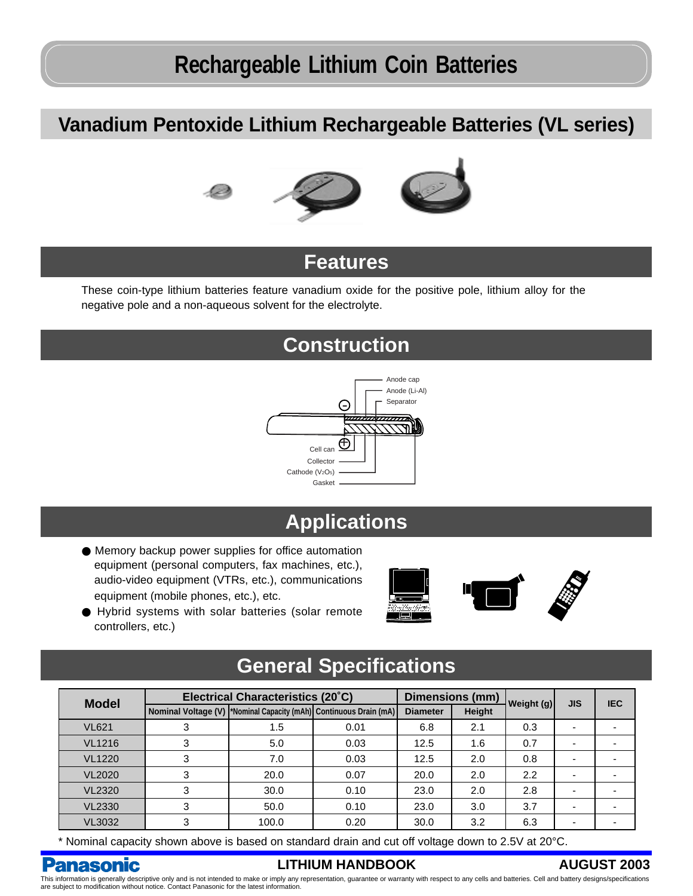# **Rechargeable Lithium Coin Batteries**

## **Vanadium Pentoxide Lithium Rechargeable Batteries (VL series)**



## **Features**

These coin-type lithium batteries feature vanadium oxide for the positive pole, lithium alloy for the negative pole and a non-aqueous solvent for the electrolyte.

## **Construction**



## **Applications**

- Memory backup power supplies for office automation equipment (personal computers, fax machines, etc.), audio-video equipment (VTRs, etc.), communications equipment (mobile phones, etc.), etc.
- Hybrid systems with solar batteries (solar remote controllers, etc.)





#### **Model** VL621 VL1216 VL1220 VL2020 VL2320 VL2330 VL3032 **Electrical Characteristics (20˚C) Dimensions (mm) Nominal Voltage (V)** <sup>\*</sup>Nominal Capacity (mAh) Continuous Drain (mA) Diameter Height (Weight (g) JIS EC 3 3 3 3 3 3 3 1.5 5.0 7.0 20.0 30.0 50.0 100.0 0.01 0.03 0.03 0.07 0.10 0.10 0.20 6.8 12.5 12.5 20.0 23.0 23.0 30.0 2.1 1.6 2.0 2.0 2.0 3.0 3.2 0.3 0.7 0.8 2.2 2.8 3.7 6.3 - - - - - - - - - - - - - -

\* Nominal capacity shown above is based on standard drain and cut off voltage down to 2.5V at 20°C.

anasonic

## **LITHIUM HANDBOOK AUGUST 2003**

This information is generally descriptive only and is not intended to make or imply any representation, guarantee or warranty with respect to any cells and batteries. Cell and battery designs/specifications are subject to modification without notice. Contact Panasonic for the latest information.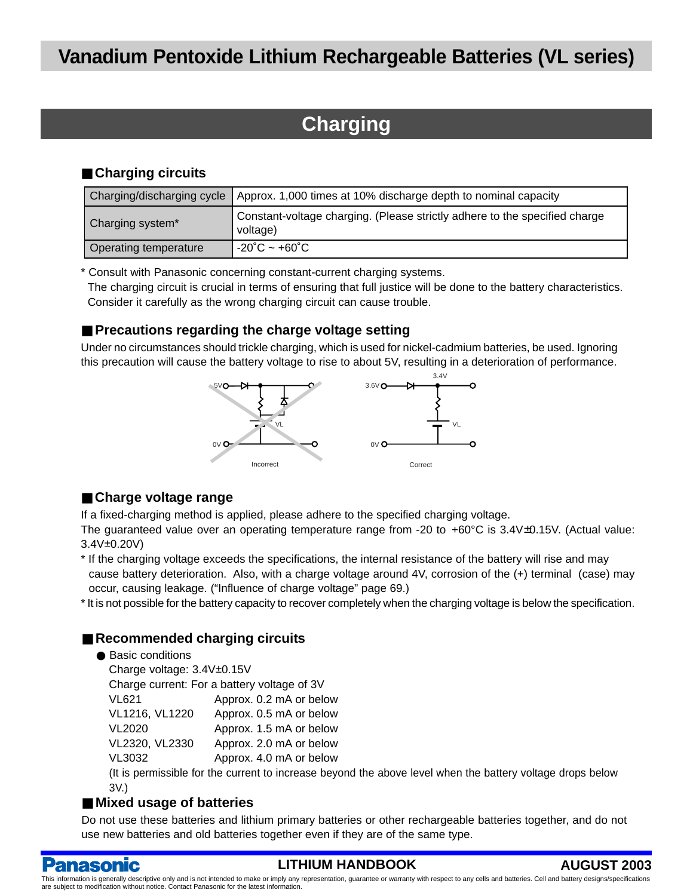## **Vanadium Pentoxide Lithium Rechargeable Batteries (VL series)**

## **Charging**

#### ■ **Charging circuits**

|                              | Charging/discharging cycle   Approx. 1,000 times at 10% discharge depth to nominal capacity |
|------------------------------|---------------------------------------------------------------------------------------------|
| Charging system*             | Constant-voltage charging. (Please strictly adhere to the specified charge<br>voltage)      |
| <b>Operating temperature</b> | <sub>l</sub> -20°C ~ +60°C                                                                  |

\* Consult with Panasonic concerning constant-current charging systems.

The charging circuit is crucial in terms of ensuring that full justice will be done to the battery characteristics. Consider it carefully as the wrong charging circuit can cause trouble.

#### ■ Precautions regarding the charge voltage setting

Under no circumstances should trickle charging, which is used for nickel-cadmium batteries, be used. Ignoring this precaution will cause the battery voltage to rise to about 5V, resulting in a deterioration of performance.



## ■ Charge voltage range

If a fixed-charging method is applied, please adhere to the specified charging voltage.

The guaranteed value over an operating temperature range from -20 to +60°C is 3.4V±0.15V. (Actual value: 3.4V±0.20V)

\* If the charging voltage exceeds the specifications, the internal resistance of the battery will rise and may cause battery deterioration. Also, with a charge voltage around 4V, corrosion of the (+) terminal (case) may occur, causing leakage. ("Influence of charge voltage" page 69.)

\* It is not possible for the battery capacity to recover completely when the charging voltage is below the specification.

#### ■ Recommended charging circuits

- Basic conditions
	- Charge voltage: 3.4V±0.15V

Charge current: For a battery voltage of 3V

VL621 Approx. 0.2 mA or below

VL1216, VL1220 Approx. 0.5 mA or below

VL2020 Approx. 1.5 mA or below

VL2320, VL2330 Approx. 2.0 mA or below

VL3032 Approx. 4.0 mA or below

(It is permissible for the current to increase beyond the above level when the battery voltage drops below 3V.)

## ■ Mixed usage of batteries

Do not use these batteries and lithium primary batteries or other rechargeable batteries together, and do not use new batteries and old batteries together even if they are of the same type.



## **LITHIUM HANDBOOK AUGUST 2003**

This information is generally descriptive only and is not intended to make or imply any representation, guarantee or warranty with respect to any cells and batteries. Cell and battery designs/specifications are subject to modification without notice. Contact Panasonic for the latest information.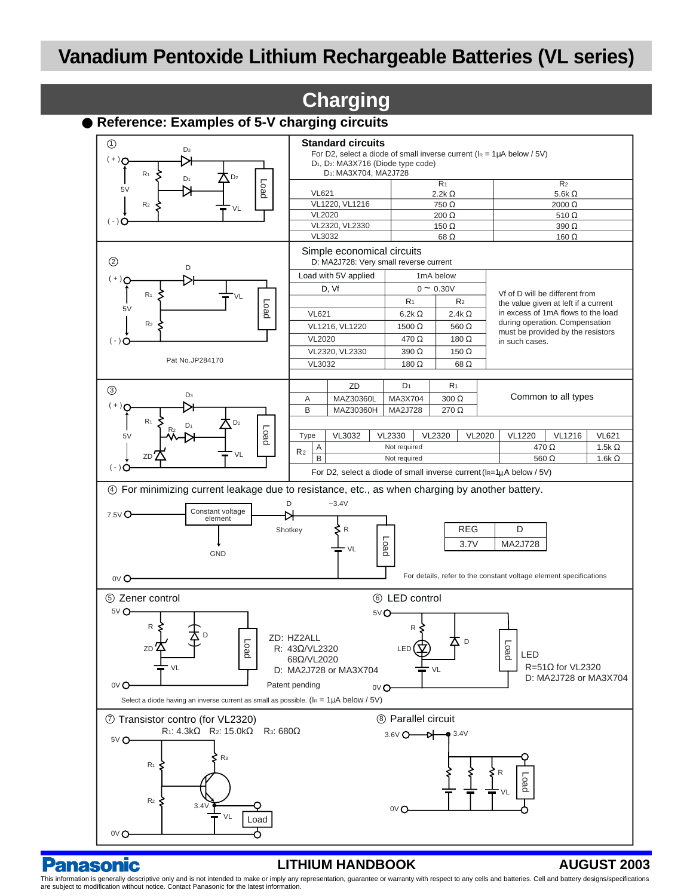## **Vanadium Pentoxide Lithium Rechargeable Batteries (VL series)**

## **Charging**

## ● Reference: Examples of 5-V charging circuits



#### This information is generally descriptive only and is not intended to make or imply any representation, guarantee or warranty with respect to any cells and batteries. Cell and battery designs/specifications are subject to modification without notice. Contact Panasonic for the latest information.

anasone

**LITHIUM HANDBOOK AUGUST 2003**